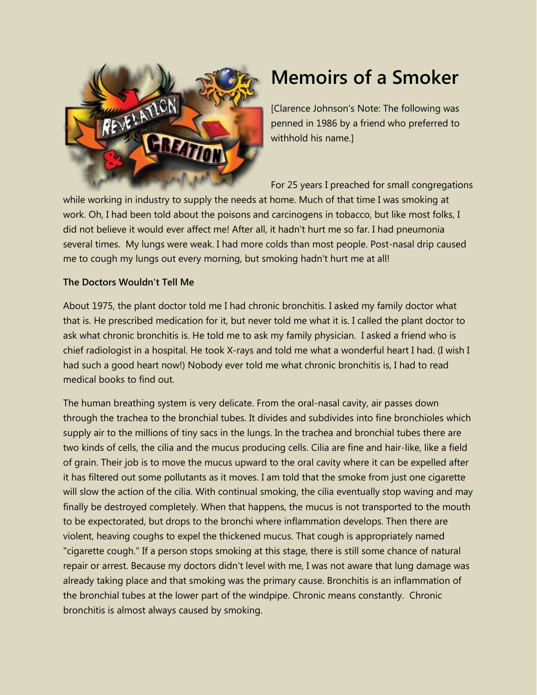

# **Memoirs of a Smoker**

[Clarence Johnson's Note: The following was penned in 1986 by a friend who preferred to withhold his name.]

For 25 years I preached for small congregations

while working in industry to supply the needs at home. Much of that time I was smoking at work. Oh, I had been told about the poisons and carcinogens in tobacco, but like most folks, I did not believe it would ever affect me! After all, it hadn't hurt me so far. I had pneumonia several times. My lungs were weak. I had more colds than most people. Post-nasal drip caused me to cough my lungs out every morning, but smoking hadn't hurt me at all!

## **The Doctors Wouldn't Tell Me**

About 1975, the plant doctor told me I had chronic bronchitis. I asked my family doctor what that is. He prescribed medication for it, but never told me what it is. I called the plant doctor to ask what chronic bronchitis is. He told me to ask my family physician. I asked a friend who is chief radiologist in a hospital. He took X-rays and told me what a wonderful heart I had. (I wish I had such a good heart now!) Nobody ever told me what chronic bronchitis is, I had to read medical books to find out.

The human breathing system is very delicate. From the oral-nasal cavity, air passes down through the trachea to the bronchial tubes. It divides and subdivides into fine bronchioles which supply air to the millions of tiny sacs in the lungs. In the trachea and bronchial tubes there are two kinds of cells, the cilia and the mucus producing cells. Cilia are fine and hair-like, like a field of grain. Their job is to move the mucus upward to the oral cavity where it can be expelled after it has filtered out some pollutants as it moves. I am told that the smoke from just one cigarette will slow the action of the cilia. With continual smoking, the cilia eventually stop waving and may finally be destroyed completely. When that happens, the mucus is not transported to the mouth to be expectorated, but drops to the bronchi where inflammation develops. Then there are violent, heaving coughs to expel the thickened mucus. That cough is appropriately named "cigarette cough." If a person stops smoking at this stage, there is still some chance of natural repair or arrest. Because my doctors didn't level with me, I was not aware that lung damage was already taking place and that smoking was the primary cause. Bronchitis is an inflammation of the bronchial tubes at the lower part of the windpipe. Chronic means constantly. Chronic bronchitis is almost always caused by smoking.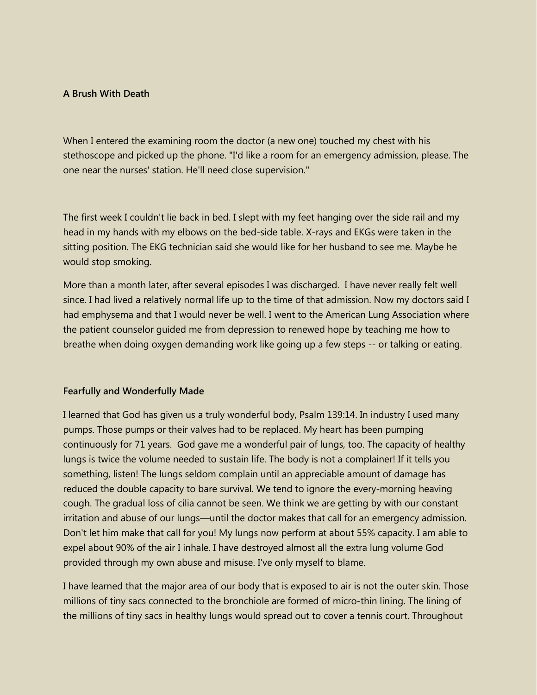### **A Brush With Death**

When I entered the examining room the doctor (a new one) touched my chest with his stethoscope and picked up the phone. "I'd like a room for an emergency admission, please. The one near the nurses' station. He'll need close supervision."

The first week I couldn't lie back in bed. I slept with my feet hanging over the side rail and my head in my hands with my elbows on the bed-side table. X-rays and EKGs were taken in the sitting position. The EKG technician said she would like for her husband to see me. Maybe he would stop smoking.

More than a month later, after several episodes I was discharged. I have never really felt well since. I had lived a relatively normal life up to the time of that admission. Now my doctors said I had emphysema and that I would never be well. I went to the American Lung Association where the patient counselor guided me from depression to renewed hope by teaching me how to breathe when doing oxygen demanding work like going up a few steps -- or talking or eating.

#### **Fearfully and Wonderfully Made**

I learned that God has given us a truly wonderful body, Psalm 139:14. In industry I used many pumps. Those pumps or their valves had to be replaced. My heart has been pumping continuously for 71 years. God gave me a wonderful pair of lungs, too. The capacity of healthy lungs is twice the volume needed to sustain life. The body is not a complainer! If it tells you something, listen! The lungs seldom complain until an appreciable amount of damage has reduced the double capacity to bare survival. We tend to ignore the every-morning heaving cough. The gradual loss of cilia cannot be seen. We think we are getting by with our constant irritation and abuse of our lungs—until the doctor makes that call for an emergency admission. Don't let him make that call for you! My lungs now perform at about 55% capacity. I am able to expel about 90% of the air I inhale. I have destroyed almost all the extra lung volume God provided through my own abuse and misuse. I've only myself to blame.

I have learned that the major area of our body that is exposed to air is not the outer skin. Those millions of tiny sacs connected to the bronchiole are formed of micro-thin lining. The lining of the millions of tiny sacs in healthy lungs would spread out to cover a tennis court. Throughout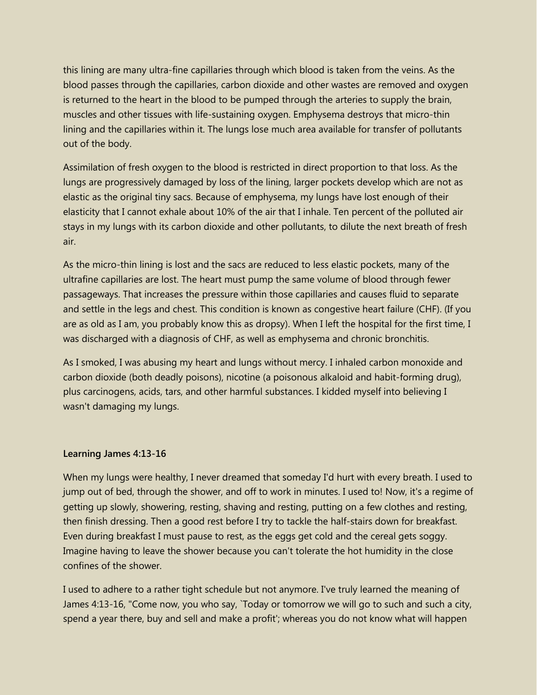this lining are many ultra-fine capillaries through which blood is taken from the veins. As the blood passes through the capillaries, carbon dioxide and other wastes are removed and oxygen is returned to the heart in the blood to be pumped through the arteries to supply the brain, muscles and other tissues with life-sustaining oxygen. Emphysema destroys that micro-thin lining and the capillaries within it. The lungs lose much area available for transfer of pollutants out of the body.

Assimilation of fresh oxygen to the blood is restricted in direct proportion to that loss. As the lungs are progressively damaged by loss of the lining, larger pockets develop which are not as elastic as the original tiny sacs. Because of emphysema, my lungs have lost enough of their elasticity that I cannot exhale about 10% of the air that I inhale. Ten percent of the polluted air stays in my lungs with its carbon dioxide and other pollutants, to dilute the next breath of fresh air.

As the micro-thin lining is lost and the sacs are reduced to less elastic pockets, many of the ultrafine capillaries are lost. The heart must pump the same volume of blood through fewer passageways. That increases the pressure within those capillaries and causes fluid to separate and settle in the legs and chest. This condition is known as congestive heart failure (CHF). (If you are as old as I am, you probably know this as dropsy). When I left the hospital for the first time, I was discharged with a diagnosis of CHF, as well as emphysema and chronic bronchitis.

As I smoked, I was abusing my heart and lungs without mercy. I inhaled carbon monoxide and carbon dioxide (both deadly poisons), nicotine (a poisonous alkaloid and habit-forming drug), plus carcinogens, acids, tars, and other harmful substances. I kidded myself into believing I wasn't damaging my lungs.

#### **Learning James 4:13-16**

When my lungs were healthy, I never dreamed that someday I'd hurt with every breath. I used to jump out of bed, through the shower, and off to work in minutes. I used to! Now, it's a regime of getting up slowly, showering, resting, shaving and resting, putting on a few clothes and resting, then finish dressing. Then a good rest before I try to tackle the half-stairs down for breakfast. Even during breakfast I must pause to rest, as the eggs get cold and the cereal gets soggy. Imagine having to leave the shower because you can't tolerate the hot humidity in the close confines of the shower.

I used to adhere to a rather tight schedule but not anymore. I've truly learned the meaning of James 4:13-16, "Come now, you who say, `Today or tomorrow we will go to such and such a city, spend a year there, buy and sell and make a profit'; whereas you do not know what will happen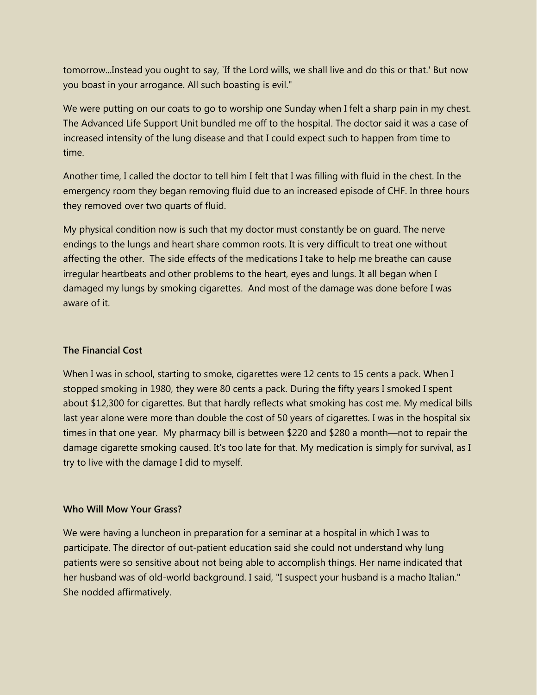tomorrow...Instead you ought to say, `If the Lord wills, we shall live and do this or that.' But now you boast in your arrogance. All such boasting is evil."

We were putting on our coats to go to worship one Sunday when I felt a sharp pain in my chest. The Advanced Life Support Unit bundled me off to the hospital. The doctor said it was a case of increased intensity of the lung disease and that I could expect such to happen from time to time.

Another time, I called the doctor to tell him I felt that I was filling with fluid in the chest. In the emergency room they began removing fluid due to an increased episode of CHF. In three hours they removed over two quarts of fluid.

My physical condition now is such that my doctor must constantly be on guard. The nerve endings to the lungs and heart share common roots. It is very difficult to treat one without affecting the other. The side effects of the medications I take to help me breathe can cause irregular heartbeats and other problems to the heart, eyes and lungs. It all began when I damaged my lungs by smoking cigarettes. And most of the damage was done before I was aware of it.

## **The Financial Cost**

When I was in school, starting to smoke, cigarettes were 12 cents to 15 cents a pack. When I stopped smoking in 1980, they were 80 cents a pack. During the fifty years I smoked I spent about \$12,300 for cigarettes. But that hardly reflects what smoking has cost me. My medical bills last year alone were more than double the cost of 50 years of cigarettes. I was in the hospital six times in that one year. My pharmacy bill is between \$220 and \$280 a month—not to repair the damage cigarette smoking caused. It's too late for that. My medication is simply for survival, as I try to live with the damage I did to myself.

## **Who Will Mow Your Grass?**

We were having a luncheon in preparation for a seminar at a hospital in which I was to participate. The director of out-patient education said she could not understand why lung patients were so sensitive about not being able to accomplish things. Her name indicated that her husband was of old-world background. I said, "I suspect your husband is a macho Italian." She nodded affirmatively.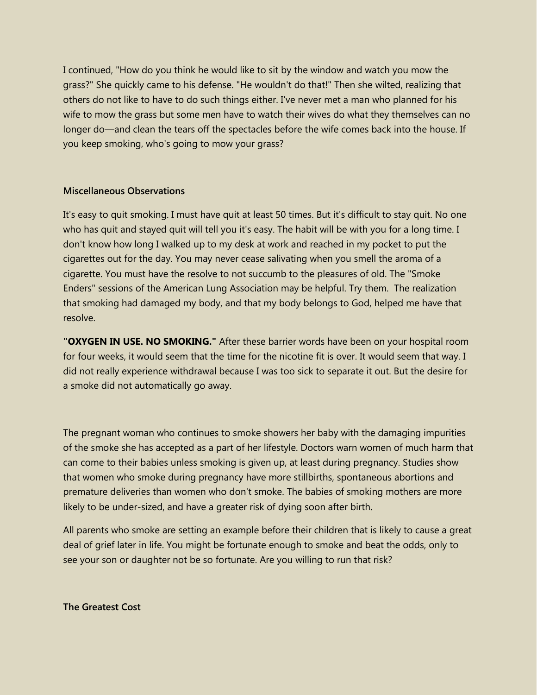I continued, "How do you think he would like to sit by the window and watch you mow the grass?" She quickly came to his defense. "He wouldn't do that!" Then she wilted, realizing that others do not like to have to do such things either. I've never met a man who planned for his wife to mow the grass but some men have to watch their wives do what they themselves can no longer do—and clean the tears off the spectacles before the wife comes back into the house. If you keep smoking, who's going to mow your grass?

#### **Miscellaneous Observations**

It's easy to quit smoking. I must have quit at least 50 times. But it's difficult to stay quit. No one who has quit and stayed quit will tell you it's easy. The habit will be with you for a long time. I don't know how long I walked up to my desk at work and reached in my pocket to put the cigarettes out for the day. You may never cease salivating when you smell the aroma of a cigarette. You must have the resolve to not succumb to the pleasures of old. The "Smoke Enders" sessions of the American Lung Association may be helpful. Try them. The realization that smoking had damaged my body, and that my body belongs to God, helped me have that resolve.

**"OXYGEN IN USE. NO SMOKING."** After these barrier words have been on your hospital room for four weeks, it would seem that the time for the nicotine fit is over. It would seem that way. I did not really experience withdrawal because I was too sick to separate it out. But the desire for a smoke did not automatically go away.

The pregnant woman who continues to smoke showers her baby with the damaging impurities of the smoke she has accepted as a part of her lifestyle. Doctors warn women of much harm that can come to their babies unless smoking is given up, at least during pregnancy. Studies show that women who smoke during pregnancy have more stillbirths, spontaneous abortions and premature deliveries than women who don't smoke. The babies of smoking mothers are more likely to be under-sized, and have a greater risk of dying soon after birth.

All parents who smoke are setting an example before their children that is likely to cause a great deal of grief later in life. You might be fortunate enough to smoke and beat the odds, only to see your son or daughter not be so fortunate. Are you willing to run that risk?

#### **The Greatest Cost**